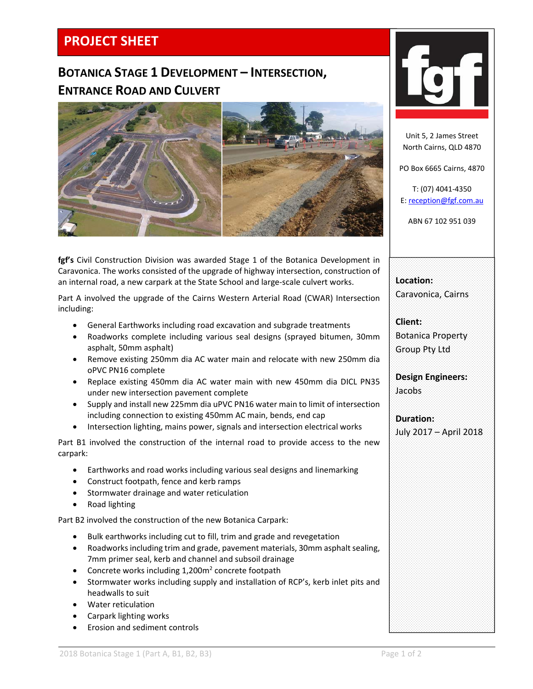## **PROJECT SHEET**

## **BOTANICA STAGE 1 DEVELOPMENT – INTERSECTION, ENTRANCE ROAD AND CULVERT**



 **fgf's** Civil Construction Division was awarded Stage 1 of the Botanica Development in Caravonica. The works consisted of the upgrade of highway intersection, construction of an internal road, a new carpark at the State School and large‐scale culvert works.

Part A involved the upgrade of the Cairns Western Arterial Road (CWAR) Intersection including:

- General Earthworks including road excavation and subgrade treatments
- Roadworks complete including various seal designs (sprayed bitumen, 30mm asphalt, 50mm asphalt)
- Remove existing 250mm dia AC water main and relocate with new 250mm dia oPVC PN16 complete
- Replace existing 450mm dia AC water main with new 450mm dia DICL PN35 under new intersection pavement complete
- Supply and install new 225mm dia uPVC PN16 water main to limit of intersection including connection to existing 450mm AC main, bends, end cap
- Intersection lighting, mains power, signals and intersection electrical works

Part B1 involved the construction of the internal road to provide access to the new carpark:

- Earthworks and road works including various seal designs and linemarking
- Construct footpath, fence and kerb ramps
- **•** Stormwater drainage and water reticulation
- Road lighting

Part B2 involved the construction of the new Botanica Carpark:

- Bulk earthworks including cut to fill, trim and grade and revegetation
- Roadworks including trim and grade, pavement materials, 30mm asphalt sealing, 7mm primer seal, kerb and channel and subsoil drainage
- Concrete works including  $1,200m^2$  concrete footpath
- Stormwater works including supply and installation of RCP's, kerb inlet pits and headwalls to suit
- Water reticulation
- Carpark lighting works
- Erosion and sediment controls



Unit 5, 2 James Street North Cairns, QLD 4870

PO Box 6665 Cairns, 4870

T: (07) 4041‐4350 E: reception@fgf.com.au

ABN 67 102 951 039

**Location:**  Caravonica, Cairns

**Client:**  Botanica Property Group Pty Ltd

**Design Engineers:**  Jacobs

**Duration:**  July 2017 – April 2018